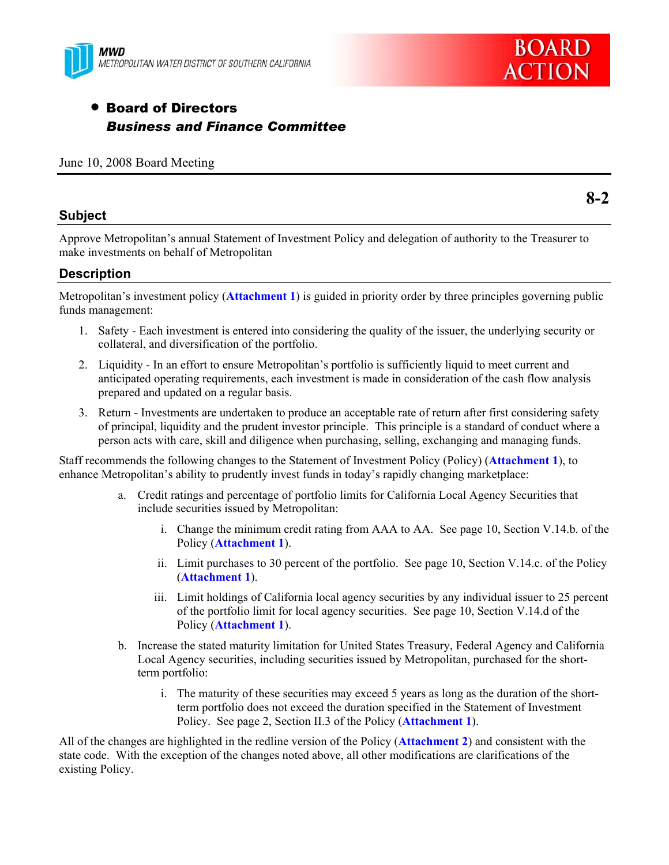



# • Board of Directors *Business and Finance Committee*

#### June 10, 2008 Board Meeting

### **Subject**

Approve Metropolitan's annual Statement of Investment Policy and delegation of authority to the Treasurer to make investments on behalf of Metropolitan

### **Description**

Metropolitan's investment policy (**Attachment 1**) is guided in priority order by three principles governing public funds management:

- 1. Safety Each investment is entered into considering the quality of the issuer, the underlying security or collateral, and diversification of the portfolio.
- 2. Liquidity In an effort to ensure Metropolitan's portfolio is sufficiently liquid to meet current and anticipated operating requirements, each investment is made in consideration of the cash flow analysis prepared and updated on a regular basis.
- 3. Return Investments are undertaken to produce an acceptable rate of return after first considering safety of principal, liquidity and the prudent investor principle. This principle is a standard of conduct where a person acts with care, skill and diligence when purchasing, selling, exchanging and managing funds.

Staff recommends the following changes to the Statement of Investment Policy (Policy) (**Attachment 1**), to enhance Metropolitan's ability to prudently invest funds in today's rapidly changing marketplace:

- a. Credit ratings and percentage of portfolio limits for California Local Agency Securities that include securities issued by Metropolitan:
	- i. Change the minimum credit rating from AAA to AA. See page 10, Section V.14.b. of the Policy (**Attachment 1**).
	- ii. Limit purchases to 30 percent of the portfolio. See page 10, Section V.14.c. of the Policy (**Attachment 1**).
	- iii. Limit holdings of California local agency securities by any individual issuer to 25 percent of the portfolio limit for local agency securities. See page 10, Section V.14.d of the Policy (**Attachment 1**).
- b. Increase the stated maturity limitation for United States Treasury, Federal Agency and California Local Agency securities, including securities issued by Metropolitan, purchased for the shortterm portfolio:
	- i. The maturity of these securities may exceed 5 years as long as the duration of the shortterm portfolio does not exceed the duration specified in the Statement of Investment Policy. See page 2, Section II.3 of the Policy (**Attachment 1**).

All of the changes are highlighted in the redline version of the Policy (**Attachment 2**) and consistent with the state code. With the exception of the changes noted above, all other modifications are clarifications of the existing Policy.

**8-2**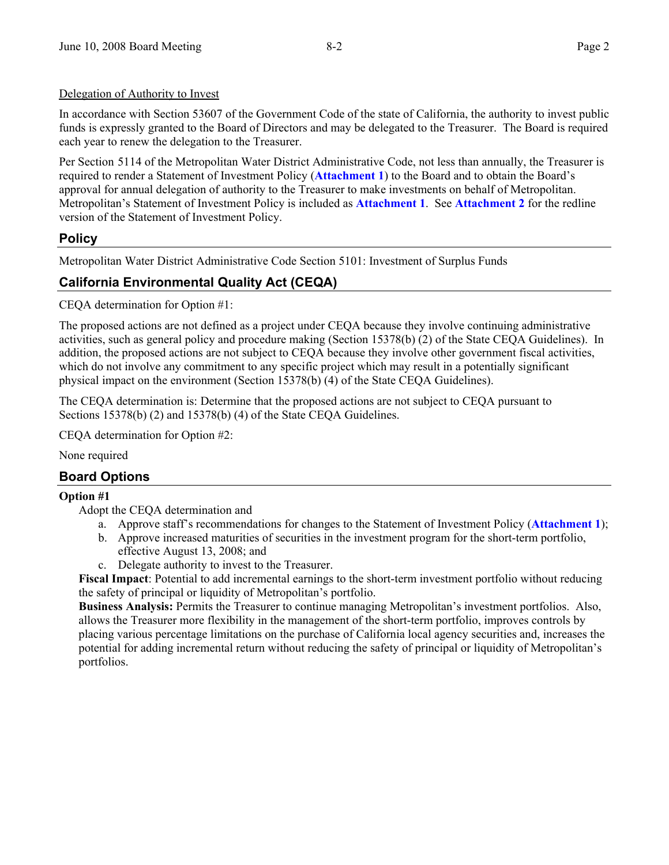### Delegation of Authority to Invest

In accordance with Section 53607 of the Government Code of the state of California, the authority to invest public funds is expressly granted to the Board of Directors and may be delegated to the Treasurer. The Board is required each year to renew the delegation to the Treasurer.

Per Section 5114 of the Metropolitan Water District Administrative Code, not less than annually, the Treasurer is required to render a Statement of Investment Policy (**Attachment 1**) to the Board and to obtain the Board's approval for annual delegation of authority to the Treasurer to make investments on behalf of Metropolitan. Metropolitan's Statement of Investment Policy is included as **Attachment 1**. See **Attachment 2** for the redline version of the Statement of Investment Policy.

# **Policy**

Metropolitan Water District Administrative Code Section 5101: Investment of Surplus Funds

# **California Environmental Quality Act (CEQA)**

CEQA determination for Option #1:

The proposed actions are not defined as a project under CEQA because they involve continuing administrative activities, such as general policy and procedure making (Section 15378(b) (2) of the State CEQA Guidelines). In addition, the proposed actions are not subject to CEQA because they involve other government fiscal activities, which do not involve any commitment to any specific project which may result in a potentially significant physical impact on the environment (Section 15378(b) (4) of the State CEQA Guidelines).

The CEQA determination is: Determine that the proposed actions are not subject to CEQA pursuant to Sections 15378(b) (2) and 15378(b) (4) of the State CEQA Guidelines.

CEQA determination for Option #2:

None required

# **Board Options**

### **Option #1**

Adopt the CEQA determination and

- a. Approve staff's recommendations for changes to the Statement of Investment Policy (**Attachment 1**);
- b. Approve increased maturities of securities in the investment program for the short-term portfolio, effective August 13, 2008; and
- c. Delegate authority to invest to the Treasurer.

**Fiscal Impact**: Potential to add incremental earnings to the short-term investment portfolio without reducing the safety of principal or liquidity of Metropolitan's portfolio.

**Business Analysis:** Permits the Treasurer to continue managing Metropolitan's investment portfolios. Also, allows the Treasurer more flexibility in the management of the short-term portfolio, improves controls by placing various percentage limitations on the purchase of California local agency securities and, increases the potential for adding incremental return without reducing the safety of principal or liquidity of Metropolitan's portfolios.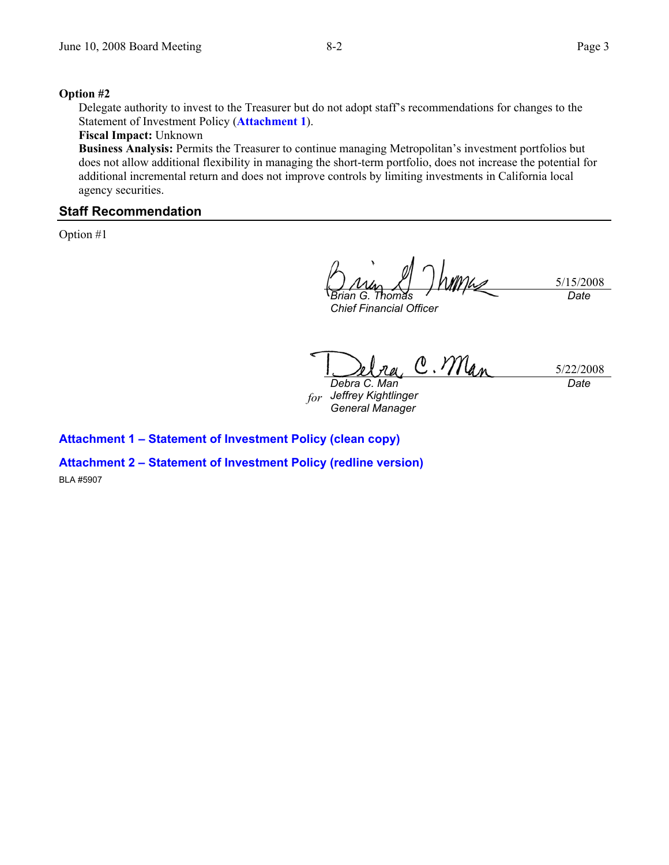#### **Option #2**

Delegate authority to invest to the Treasurer but do not adopt staff's recommendations for changes to the Statement of Investment Policy (**Attachment 1**).

#### **Fiscal Impact:** Unknown

**Business Analysis:** Permits the Treasurer to continue managing Metropolitan's investment portfolios but does not allow additional flexibility in managing the short-term portfolio, does not increase the potential for additional incremental return and does not improve controls by limiting investments in California local agency securities.

#### **Staff Recommendation**

Option #1

5/15/2008 *Brian G. Thomas Date* 

*Chief Financial Officer* 

C. Man 5/22/2008 *Debra C. Man Date* 

*for Jeffrey Kightlinger General Manager* 

**Attachment 1 – Statement of Investment Policy (clean copy)** 

**Attachment 2 – Statement of Investment Policy (redline version)** 

BLA #5907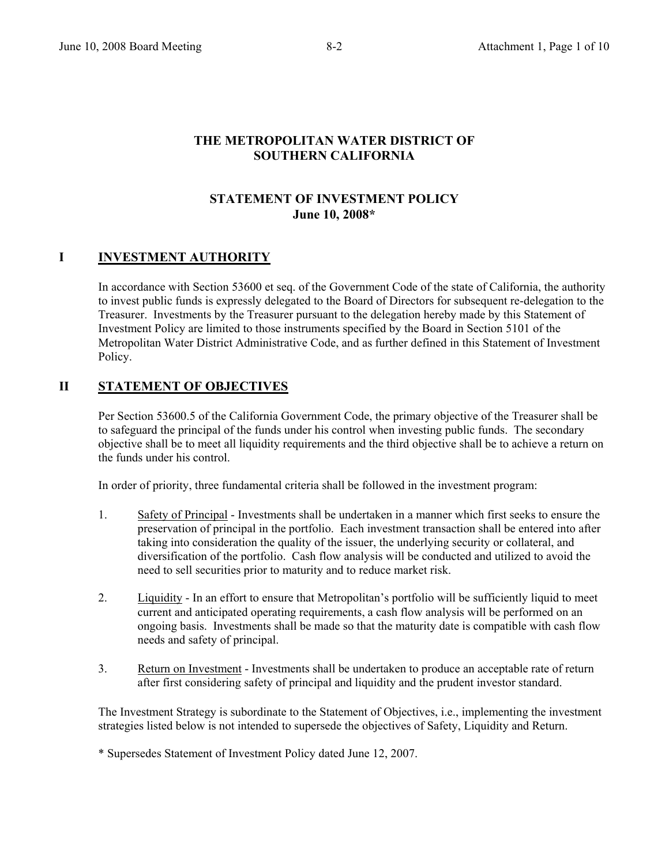### **THE METROPOLITAN WATER DISTRICT OF SOUTHERN CALIFORNIA**

### **STATEMENT OF INVESTMENT POLICY June 10, 2008\***

### **I** INVESTMENT AUTHORITY

In accordance with Section 53600 et seq. of the Government Code of the state of California, the authority to invest public funds is expressly delegated to the Board of Directors for subsequent re-delegation to the Treasurer. Investments by the Treasurer pursuant to the delegation hereby made by this Statement of Investment Policy are limited to those instruments specified by the Board in Section 5101 of the Metropolitan Water District Administrative Code, and as further defined in this Statement of Investment Policy.

### **II STATEMENT OF OBJECTIVES**

Per Section 53600.5 of the California Government Code, the primary objective of the Treasurer shall be to safeguard the principal of the funds under his control when investing public funds. The secondary objective shall be to meet all liquidity requirements and the third objective shall be to achieve a return on the funds under his control.

In order of priority, three fundamental criteria shall be followed in the investment program:

- 1. Safety of Principal Investments shall be undertaken in a manner which first seeks to ensure the preservation of principal in the portfolio. Each investment transaction shall be entered into after taking into consideration the quality of the issuer, the underlying security or collateral, and diversification of the portfolio. Cash flow analysis will be conducted and utilized to avoid the need to sell securities prior to maturity and to reduce market risk.
- 2. Liquidity In an effort to ensure that Metropolitan's portfolio will be sufficiently liquid to meet current and anticipated operating requirements, a cash flow analysis will be performed on an ongoing basis. Investments shall be made so that the maturity date is compatible with cash flow needs and safety of principal.
- 3. Return on Investment Investments shall be undertaken to produce an acceptable rate of return after first considering safety of principal and liquidity and the prudent investor standard.

The Investment Strategy is subordinate to the Statement of Objectives, i.e., implementing the investment strategies listed below is not intended to supersede the objectives of Safety, Liquidity and Return.

\* Supersedes Statement of Investment Policy dated June 12, 2007.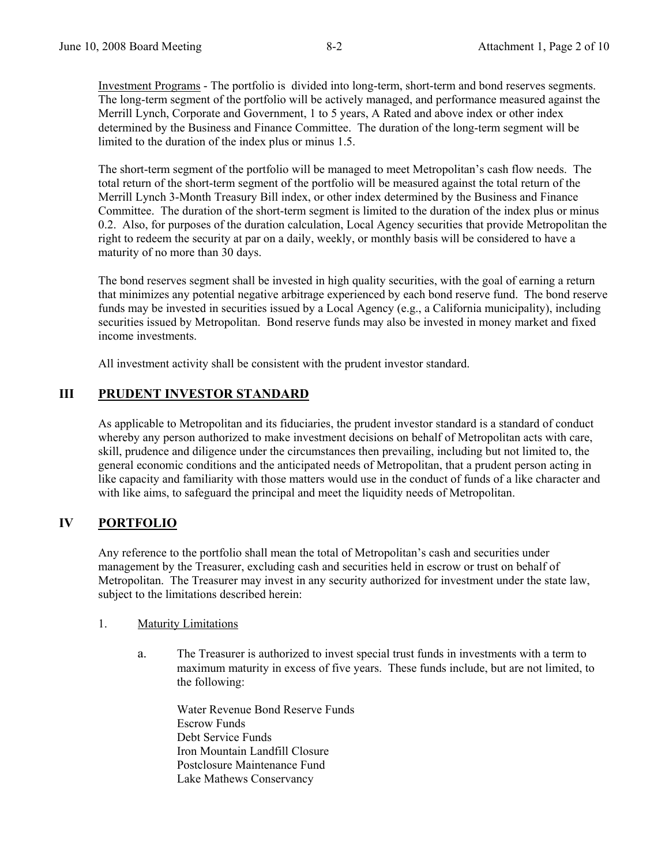Investment Programs - The portfolio is divided into long-term, short-term and bond reserves segments. The long-term segment of the portfolio will be actively managed, and performance measured against the Merrill Lynch, Corporate and Government, 1 to 5 years, A Rated and above index or other index determined by the Business and Finance Committee. The duration of the long-term segment will be limited to the duration of the index plus or minus 1.5.

The short-term segment of the portfolio will be managed to meet Metropolitan's cash flow needs. The total return of the short-term segment of the portfolio will be measured against the total return of the Merrill Lynch 3-Month Treasury Bill index, or other index determined by the Business and Finance Committee. The duration of the short-term segment is limited to the duration of the index plus or minus 0.2. Also, for purposes of the duration calculation, Local Agency securities that provide Metropolitan the right to redeem the security at par on a daily, weekly, or monthly basis will be considered to have a maturity of no more than 30 days.

The bond reserves segment shall be invested in high quality securities, with the goal of earning a return that minimizes any potential negative arbitrage experienced by each bond reserve fund. The bond reserve funds may be invested in securities issued by a Local Agency (e.g., a California municipality), including securities issued by Metropolitan. Bond reserve funds may also be invested in money market and fixed income investments.

All investment activity shall be consistent with the prudent investor standard.

# **III PRUDENT INVESTOR STANDARD**

As applicable to Metropolitan and its fiduciaries, the prudent investor standard is a standard of conduct whereby any person authorized to make investment decisions on behalf of Metropolitan acts with care, skill, prudence and diligence under the circumstances then prevailing, including but not limited to, the general economic conditions and the anticipated needs of Metropolitan, that a prudent person acting in like capacity and familiarity with those matters would use in the conduct of funds of a like character and with like aims, to safeguard the principal and meet the liquidity needs of Metropolitan.

### **IV PORTFOLIO**

Any reference to the portfolio shall mean the total of Metropolitan's cash and securities under management by the Treasurer, excluding cash and securities held in escrow or trust on behalf of Metropolitan. The Treasurer may invest in any security authorized for investment under the state law, subject to the limitations described herein:

#### 1. Maturity Limitations

a. The Treasurer is authorized to invest special trust funds in investments with a term to maximum maturity in excess of five years. These funds include, but are not limited, to the following:

Water Revenue Bond Reserve Funds Escrow Funds Debt Service Funds Iron Mountain Landfill Closure Postclosure Maintenance Fund Lake Mathews Conservancy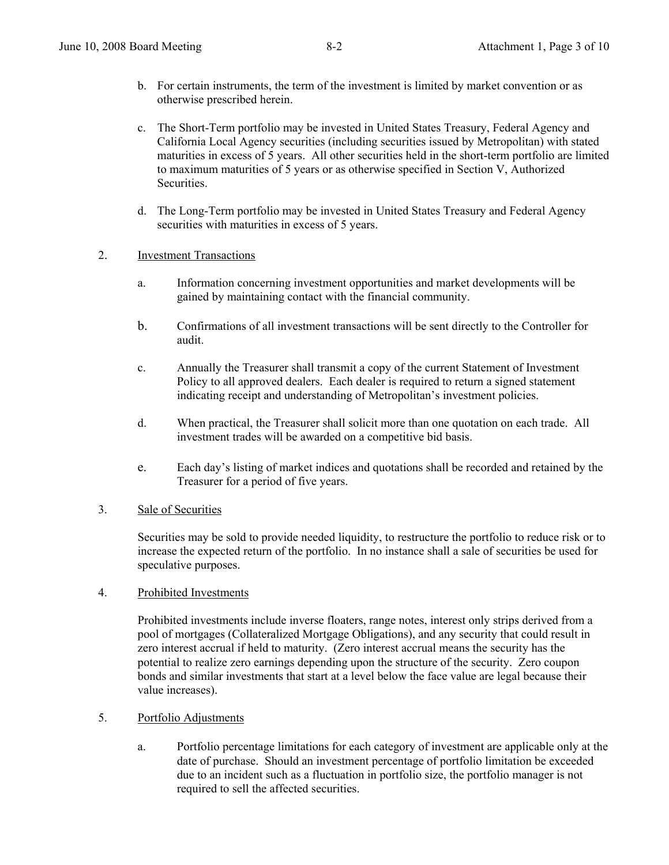- c. The Short-Term portfolio may be invested in United States Treasury, Federal Agency and California Local Agency securities (including securities issued by Metropolitan) with stated maturities in excess of 5 years. All other securities held in the short-term portfolio are limited to maximum maturities of 5 years or as otherwise specified in Section V, Authorized **Securities**
- d. The Long-Term portfolio may be invested in United States Treasury and Federal Agency securities with maturities in excess of 5 years.

### 2. Investment Transactions

- a. Information concerning investment opportunities and market developments will be gained by maintaining contact with the financial community.
- b. Confirmations of all investment transactions will be sent directly to the Controller for audit.
- c. Annually the Treasurer shall transmit a copy of the current Statement of Investment Policy to all approved dealers. Each dealer is required to return a signed statement indicating receipt and understanding of Metropolitan's investment policies.
- d. When practical, the Treasurer shall solicit more than one quotation on each trade. All investment trades will be awarded on a competitive bid basis.
- e. Each day's listing of market indices and quotations shall be recorded and retained by the Treasurer for a period of five years.
- 3. Sale of Securities

 Securities may be sold to provide needed liquidity, to restructure the portfolio to reduce risk or to increase the expected return of the portfolio. In no instance shall a sale of securities be used for speculative purposes.

4. Prohibited Investments

Prohibited investments include inverse floaters, range notes, interest only strips derived from a pool of mortgages (Collateralized Mortgage Obligations), and any security that could result in zero interest accrual if held to maturity. (Zero interest accrual means the security has the potential to realize zero earnings depending upon the structure of the security. Zero coupon bonds and similar investments that start at a level below the face value are legal because their value increases).

- 5. Portfolio Adjustments
	- a. Portfolio percentage limitations for each category of investment are applicable only at the date of purchase. Should an investment percentage of portfolio limitation be exceeded due to an incident such as a fluctuation in portfolio size, the portfolio manager is not required to sell the affected securities.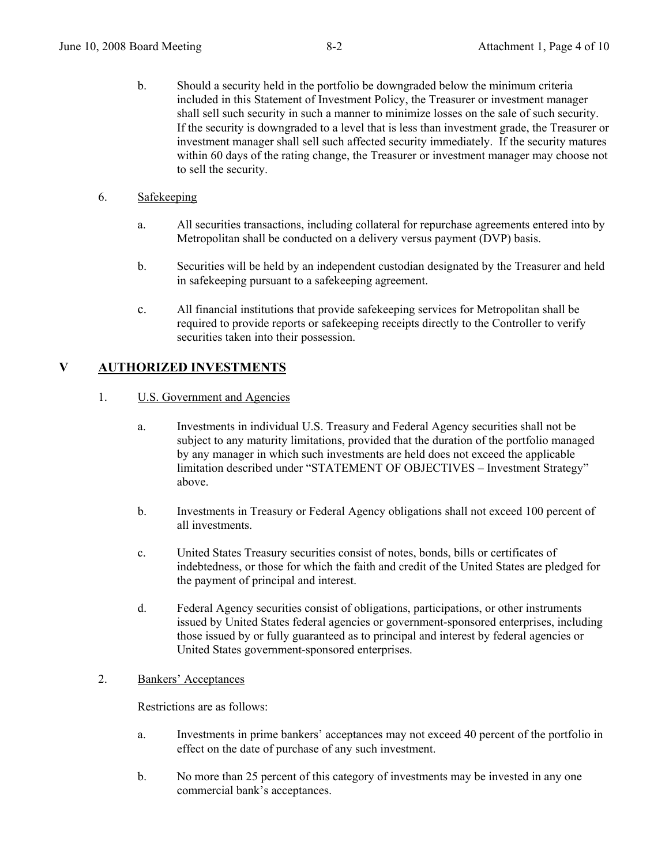- b. Should a security held in the portfolio be downgraded below the minimum criteria included in this Statement of Investment Policy, the Treasurer or investment manager shall sell such security in such a manner to minimize losses on the sale of such security. If the security is downgraded to a level that is less than investment grade, the Treasurer or investment manager shall sell such affected security immediately. If the security matures within 60 days of the rating change, the Treasurer or investment manager may choose not to sell the security.
- 6. Safekeeping
	- a. All securities transactions, including collateral for repurchase agreements entered into by Metropolitan shall be conducted on a delivery versus payment (DVP) basis.
	- b. Securities will be held by an independent custodian designated by the Treasurer and held in safekeeping pursuant to a safekeeping agreement.
	- c. All financial institutions that provide safekeeping services for Metropolitan shall be required to provide reports or safekeeping receipts directly to the Controller to verify securities taken into their possession.

# **V AUTHORIZED INVESTMENTS**

#### 1. U.S. Government and Agencies

- a. Investments in individual U.S. Treasury and Federal Agency securities shall not be subject to any maturity limitations, provided that the duration of the portfolio managed by any manager in which such investments are held does not exceed the applicable limitation described under "STATEMENT OF OBJECTIVES – Investment Strategy" above.
- b. Investments in Treasury or Federal Agency obligations shall not exceed 100 percent of all investments.
- c. United States Treasury securities consist of notes, bonds, bills or certificates of indebtedness, or those for which the faith and credit of the United States are pledged for the payment of principal and interest.
- d. Federal Agency securities consist of obligations, participations, or other instruments issued by United States federal agencies or government-sponsored enterprises, including those issued by or fully guaranteed as to principal and interest by federal agencies or United States government-sponsored enterprises.

#### 2. Bankers' Acceptances

Restrictions are as follows:

- a. Investments in prime bankers' acceptances may not exceed 40 percent of the portfolio in effect on the date of purchase of any such investment.
- b. No more than 25 percent of this category of investments may be invested in any one commercial bank's acceptances.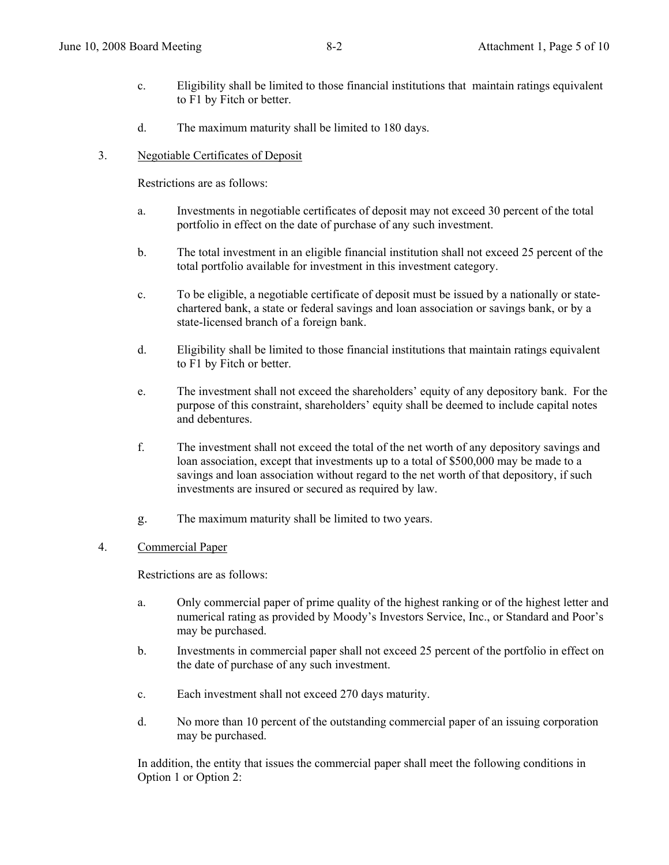- c. Eligibility shall be limited to those financial institutions that maintain ratings equivalent to F1 by Fitch or better.
- d. The maximum maturity shall be limited to 180 days.
- 3. Negotiable Certificates of Deposit

Restrictions are as follows:

- a. Investments in negotiable certificates of deposit may not exceed 30 percent of the total portfolio in effect on the date of purchase of any such investment.
- b. The total investment in an eligible financial institution shall not exceed 25 percent of the total portfolio available for investment in this investment category.
- c. To be eligible, a negotiable certificate of deposit must be issued by a nationally or statechartered bank, a state or federal savings and loan association or savings bank, or by a state-licensed branch of a foreign bank.
- d. Eligibility shall be limited to those financial institutions that maintain ratings equivalent to F1 by Fitch or better.
- e. The investment shall not exceed the shareholders' equity of any depository bank. For the purpose of this constraint, shareholders' equity shall be deemed to include capital notes and debentures.
- f. The investment shall not exceed the total of the net worth of any depository savings and loan association, except that investments up to a total of \$500,000 may be made to a savings and loan association without regard to the net worth of that depository, if such investments are insured or secured as required by law.
- g. The maximum maturity shall be limited to two years.

#### 4. Commercial Paper

Restrictions are as follows:

- a. Only commercial paper of prime quality of the highest ranking or of the highest letter and numerical rating as provided by Moody's Investors Service, Inc., or Standard and Poor's may be purchased.
- b. Investments in commercial paper shall not exceed 25 percent of the portfolio in effect on the date of purchase of any such investment.
- c. Each investment shall not exceed 270 days maturity.
- d. No more than 10 percent of the outstanding commercial paper of an issuing corporation may be purchased.

In addition, the entity that issues the commercial paper shall meet the following conditions in Option 1 or Option 2: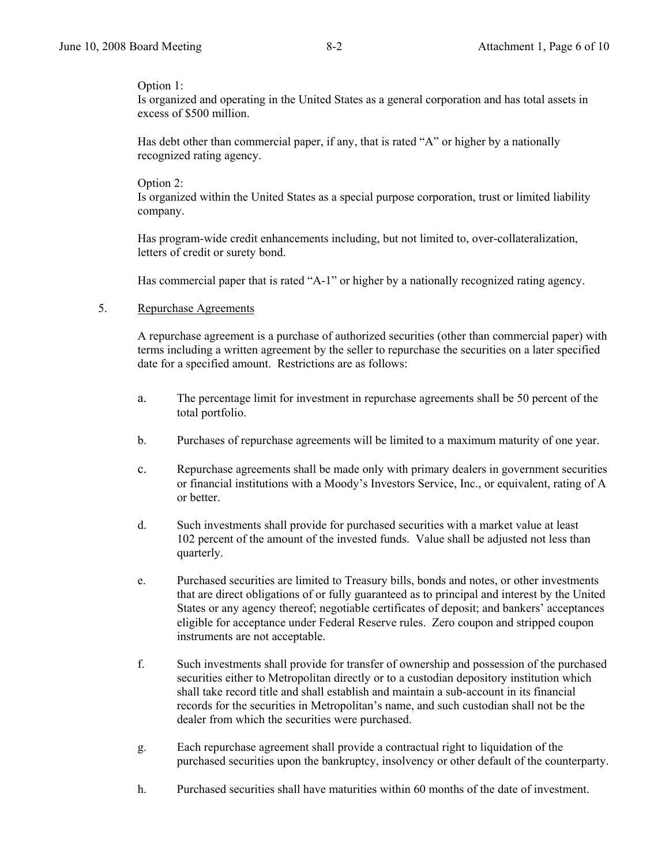#### Option 1:

Is organized and operating in the United States as a general corporation and has total assets in excess of \$500 million.

Has debt other than commercial paper, if any, that is rated "A" or higher by a nationally recognized rating agency.

#### Option 2:

Is organized within the United States as a special purpose corporation, trust or limited liability company.

Has program-wide credit enhancements including, but not limited to, over-collateralization, letters of credit or surety bond.

Has commercial paper that is rated "A-1" or higher by a nationally recognized rating agency.

### 5. Repurchase Agreements

 A repurchase agreement is a purchase of authorized securities (other than commercial paper) with terms including a written agreement by the seller to repurchase the securities on a later specified date for a specified amount. Restrictions are as follows:

- a. The percentage limit for investment in repurchase agreements shall be 50 percent of the total portfolio.
- b. Purchases of repurchase agreements will be limited to a maximum maturity of one year.
- c. Repurchase agreements shall be made only with primary dealers in government securities or financial institutions with a Moody's Investors Service, Inc., or equivalent, rating of A or better.
- d. Such investments shall provide for purchased securities with a market value at least 102 percent of the amount of the invested funds. Value shall be adjusted not less than quarterly.
- e. Purchased securities are limited to Treasury bills, bonds and notes, or other investments that are direct obligations of or fully guaranteed as to principal and interest by the United States or any agency thereof; negotiable certificates of deposit; and bankers' acceptances eligible for acceptance under Federal Reserve rules. Zero coupon and stripped coupon instruments are not acceptable.
- f. Such investments shall provide for transfer of ownership and possession of the purchased securities either to Metropolitan directly or to a custodian depository institution which shall take record title and shall establish and maintain a sub-account in its financial records for the securities in Metropolitan's name, and such custodian shall not be the dealer from which the securities were purchased.
- g. Each repurchase agreement shall provide a contractual right to liquidation of the purchased securities upon the bankruptcy, insolvency or other default of the counterparty.
- h. Purchased securities shall have maturities within 60 months of the date of investment.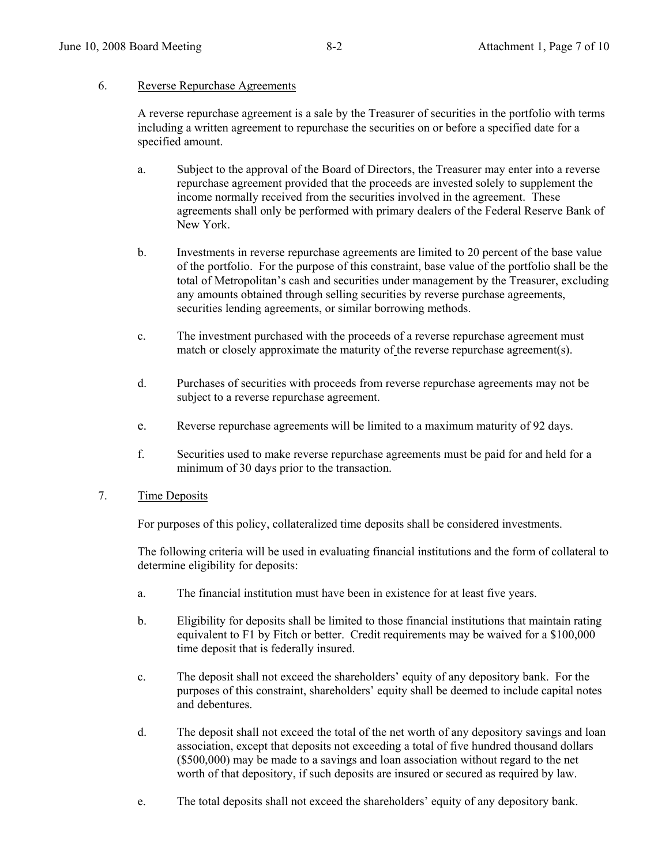#### 6. Reverse Repurchase Agreements

A reverse repurchase agreement is a sale by the Treasurer of securities in the portfolio with terms including a written agreement to repurchase the securities on or before a specified date for a specified amount.

- a. Subject to the approval of the Board of Directors, the Treasurer may enter into a reverse repurchase agreement provided that the proceeds are invested solely to supplement the income normally received from the securities involved in the agreement. These agreements shall only be performed with primary dealers of the Federal Reserve Bank of New York.
- b. Investments in reverse repurchase agreements are limited to 20 percent of the base value of the portfolio. For the purpose of this constraint, base value of the portfolio shall be the total of Metropolitan's cash and securities under management by the Treasurer, excluding any amounts obtained through selling securities by reverse purchase agreements, securities lending agreements, or similar borrowing methods.
- c. The investment purchased with the proceeds of a reverse repurchase agreement must match or closely approximate the maturity of the reverse repurchase agreement(s).
- d. Purchases of securities with proceeds from reverse repurchase agreements may not be subject to a reverse repurchase agreement.
- e. Reverse repurchase agreements will be limited to a maximum maturity of 92 days.
- f. Securities used to make reverse repurchase agreements must be paid for and held for a minimum of 30 days prior to the transaction.

#### 7. Time Deposits

For purposes of this policy, collateralized time deposits shall be considered investments.

 The following criteria will be used in evaluating financial institutions and the form of collateral to determine eligibility for deposits:

- a. The financial institution must have been in existence for at least five years.
- b. Eligibility for deposits shall be limited to those financial institutions that maintain rating equivalent to F1 by Fitch or better. Credit requirements may be waived for a \$100,000 time deposit that is federally insured.
- c. The deposit shall not exceed the shareholders' equity of any depository bank. For the purposes of this constraint, shareholders' equity shall be deemed to include capital notes and debentures.
- d. The deposit shall not exceed the total of the net worth of any depository savings and loan association, except that deposits not exceeding a total of five hundred thousand dollars (\$500,000) may be made to a savings and loan association without regard to the net worth of that depository, if such deposits are insured or secured as required by law.
- e. The total deposits shall not exceed the shareholders' equity of any depository bank.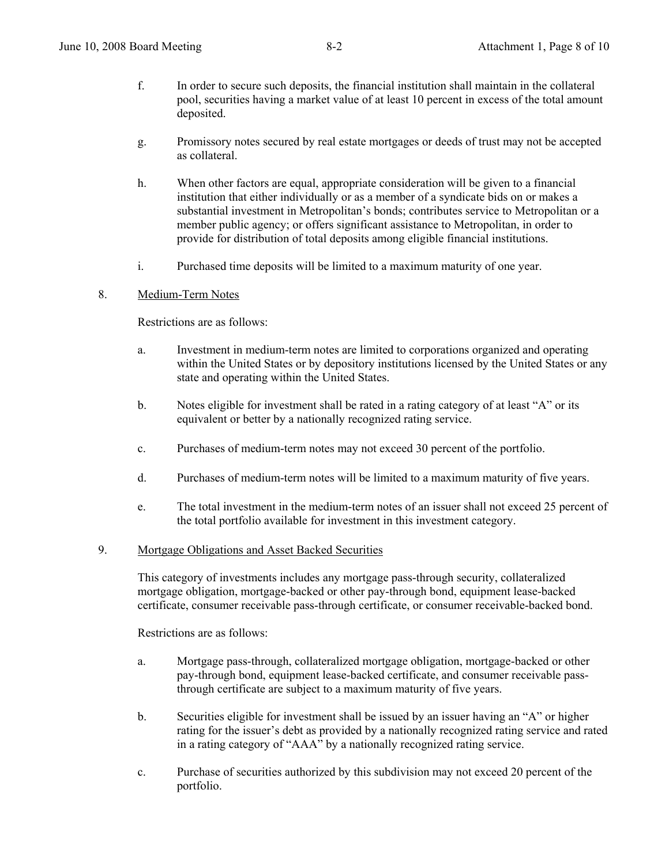- f. In order to secure such deposits, the financial institution shall maintain in the collateral pool, securities having a market value of at least 10 percent in excess of the total amount deposited.
- g. Promissory notes secured by real estate mortgages or deeds of trust may not be accepted as collateral.
- h. When other factors are equal, appropriate consideration will be given to a financial institution that either individually or as a member of a syndicate bids on or makes a substantial investment in Metropolitan's bonds; contributes service to Metropolitan or a member public agency; or offers significant assistance to Metropolitan, in order to provide for distribution of total deposits among eligible financial institutions.
- i. Purchased time deposits will be limited to a maximum maturity of one year.

### 8. Medium-Term Notes

Restrictions are as follows:

- a. Investment in medium-term notes are limited to corporations organized and operating within the United States or by depository institutions licensed by the United States or any state and operating within the United States.
- b. Notes eligible for investment shall be rated in a rating category of at least "A" or its equivalent or better by a nationally recognized rating service.
- c. Purchases of medium-term notes may not exceed 30 percent of the portfolio.
- d. Purchases of medium-term notes will be limited to a maximum maturity of five years.
- e. The total investment in the medium-term notes of an issuer shall not exceed 25 percent of the total portfolio available for investment in this investment category.

#### 9. Mortgage Obligations and Asset Backed Securities

 This category of investments includes any mortgage pass-through security, collateralized mortgage obligation, mortgage-backed or other pay-through bond, equipment lease-backed certificate, consumer receivable pass-through certificate, or consumer receivable-backed bond.

Restrictions are as follows:

- a. Mortgage pass-through, collateralized mortgage obligation, mortgage-backed or other pay-through bond, equipment lease-backed certificate, and consumer receivable passthrough certificate are subject to a maximum maturity of five years.
- b. Securities eligible for investment shall be issued by an issuer having an "A" or higher rating for the issuer's debt as provided by a nationally recognized rating service and rated in a rating category of "AAA" by a nationally recognized rating service.
- c. Purchase of securities authorized by this subdivision may not exceed 20 percent of the portfolio.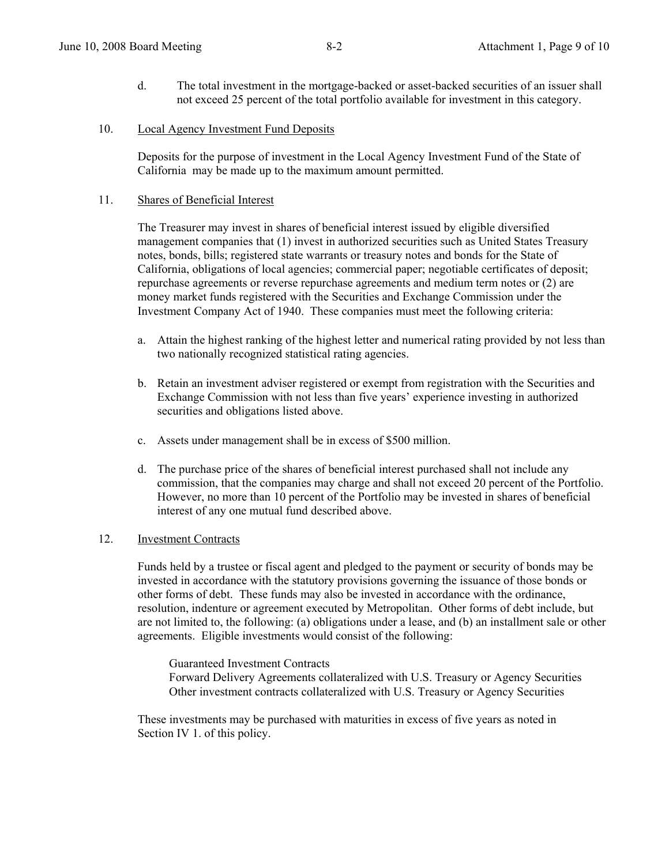- d. The total investment in the mortgage-backed or asset-backed securities of an issuer shall not exceed 25 percent of the total portfolio available for investment in this category.
- 10. Local Agency Investment Fund Deposits

Deposits for the purpose of investment in the Local Agency Investment Fund of the State of California may be made up to the maximum amount permitted.

#### 11. Shares of Beneficial Interest

The Treasurer may invest in shares of beneficial interest issued by eligible diversified management companies that (1) invest in authorized securities such as United States Treasury notes, bonds, bills; registered state warrants or treasury notes and bonds for the State of California, obligations of local agencies; commercial paper; negotiable certificates of deposit; repurchase agreements or reverse repurchase agreements and medium term notes or (2) are money market funds registered with the Securities and Exchange Commission under the Investment Company Act of 1940. These companies must meet the following criteria:

- a. Attain the highest ranking of the highest letter and numerical rating provided by not less than two nationally recognized statistical rating agencies.
- b. Retain an investment adviser registered or exempt from registration with the Securities and Exchange Commission with not less than five years' experience investing in authorized securities and obligations listed above.
- c. Assets under management shall be in excess of \$500 million.
- d. The purchase price of the shares of beneficial interest purchased shall not include any commission, that the companies may charge and shall not exceed 20 percent of the Portfolio. However, no more than 10 percent of the Portfolio may be invested in shares of beneficial interest of any one mutual fund described above.

#### 12. Investment Contracts

Funds held by a trustee or fiscal agent and pledged to the payment or security of bonds may be invested in accordance with the statutory provisions governing the issuance of those bonds or other forms of debt. These funds may also be invested in accordance with the ordinance, resolution, indenture or agreement executed by Metropolitan. Other forms of debt include, but are not limited to, the following: (a) obligations under a lease, and (b) an installment sale or other agreements. Eligible investments would consist of the following:

 Guaranteed Investment Contracts Forward Delivery Agreements collateralized with U.S. Treasury or Agency Securities Other investment contracts collateralized with U.S. Treasury or Agency Securities

These investments may be purchased with maturities in excess of five years as noted in Section IV 1. of this policy.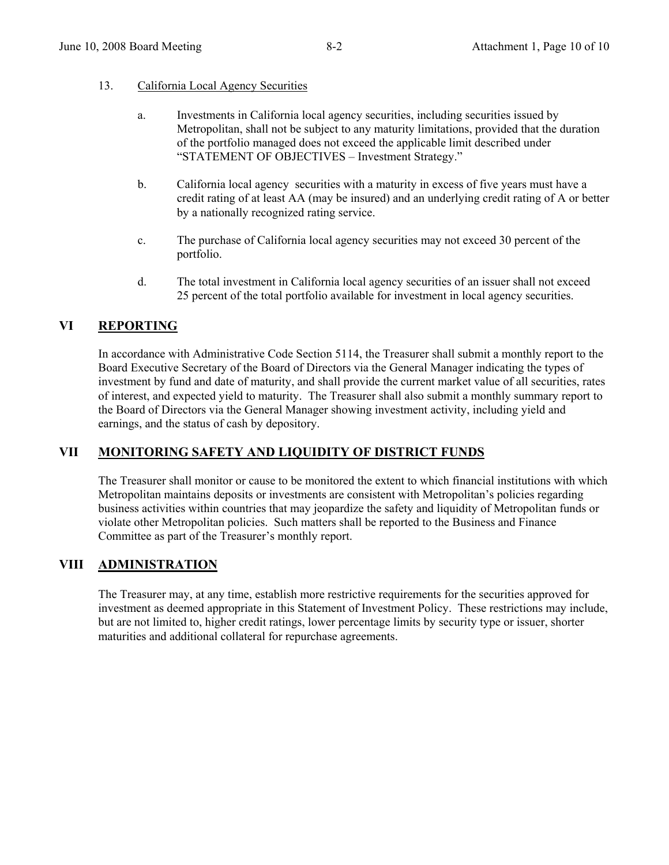#### 13. California Local Agency Securities

- a. Investments in California local agency securities, including securities issued by Metropolitan, shall not be subject to any maturity limitations, provided that the duration of the portfolio managed does not exceed the applicable limit described under "STATEMENT OF OBJECTIVES – Investment Strategy."
- b. California local agency securities with a maturity in excess of five years must have a credit rating of at least AA (may be insured) and an underlying credit rating of A or better by a nationally recognized rating service.
- c. The purchase of California local agency securities may not exceed 30 percent of the portfolio.
- d. The total investment in California local agency securities of an issuer shall not exceed 25 percent of the total portfolio available for investment in local agency securities.

### **VI REPORTING**

In accordance with Administrative Code Section 5114, the Treasurer shall submit a monthly report to the Board Executive Secretary of the Board of Directors via the General Manager indicating the types of investment by fund and date of maturity, and shall provide the current market value of all securities, rates of interest, and expected yield to maturity. The Treasurer shall also submit a monthly summary report to the Board of Directors via the General Manager showing investment activity, including yield and earnings, and the status of cash by depository.

# **VII MONITORING SAFETY AND LIQUIDITY OF DISTRICT FUNDS**

 The Treasurer shall monitor or cause to be monitored the extent to which financial institutions with which Metropolitan maintains deposits or investments are consistent with Metropolitan's policies regarding business activities within countries that may jeopardize the safety and liquidity of Metropolitan funds or violate other Metropolitan policies. Such matters shall be reported to the Business and Finance Committee as part of the Treasurer's monthly report.

# **VIII ADMINISTRATION**

 The Treasurer may, at any time, establish more restrictive requirements for the securities approved for investment as deemed appropriate in this Statement of Investment Policy. These restrictions may include, but are not limited to, higher credit ratings, lower percentage limits by security type or issuer, shorter maturities and additional collateral for repurchase agreements.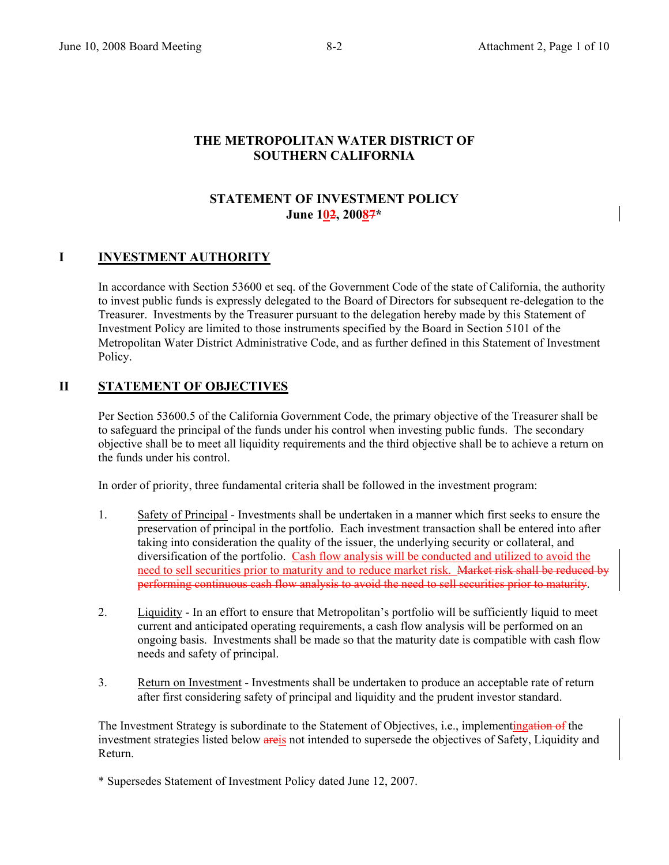### **THE METROPOLITAN WATER DISTRICT OF SOUTHERN CALIFORNIA**

### **STATEMENT OF INVESTMENT POLICY June 102, 20087\***

### **I** INVESTMENT AUTHORITY

In accordance with Section 53600 et seq. of the Government Code of the state of California, the authority to invest public funds is expressly delegated to the Board of Directors for subsequent re-delegation to the Treasurer. Investments by the Treasurer pursuant to the delegation hereby made by this Statement of Investment Policy are limited to those instruments specified by the Board in Section 5101 of the Metropolitan Water District Administrative Code, and as further defined in this Statement of Investment Policy.

### **II STATEMENT OF OBJECTIVES**

Per Section 53600.5 of the California Government Code, the primary objective of the Treasurer shall be to safeguard the principal of the funds under his control when investing public funds. The secondary objective shall be to meet all liquidity requirements and the third objective shall be to achieve a return on the funds under his control.

In order of priority, three fundamental criteria shall be followed in the investment program:

- 1. Safety of Principal Investments shall be undertaken in a manner which first seeks to ensure the preservation of principal in the portfolio. Each investment transaction shall be entered into after taking into consideration the quality of the issuer, the underlying security or collateral, and diversification of the portfolio. Cash flow analysis will be conducted and utilized to avoid the need to sell securities prior to maturity and to reduce market risk. Market risk shall be reduced by performing continuous cash flow analysis to avoid the need to sell securities prior to maturity.
- 2. Liquidity In an effort to ensure that Metropolitan's portfolio will be sufficiently liquid to meet current and anticipated operating requirements, a cash flow analysis will be performed on an ongoing basis. Investments shall be made so that the maturity date is compatible with cash flow needs and safety of principal.
- 3. Return on Investment Investments shall be undertaken to produce an acceptable rate of return after first considering safety of principal and liquidity and the prudent investor standard.

The Investment Strategy is subordinate to the Statement of Objectives, i.e., implementingation of the investment strategies listed below areis not intended to supersede the objectives of Safety, Liquidity and Return.

\* Supersedes Statement of Investment Policy dated June 12, 2007.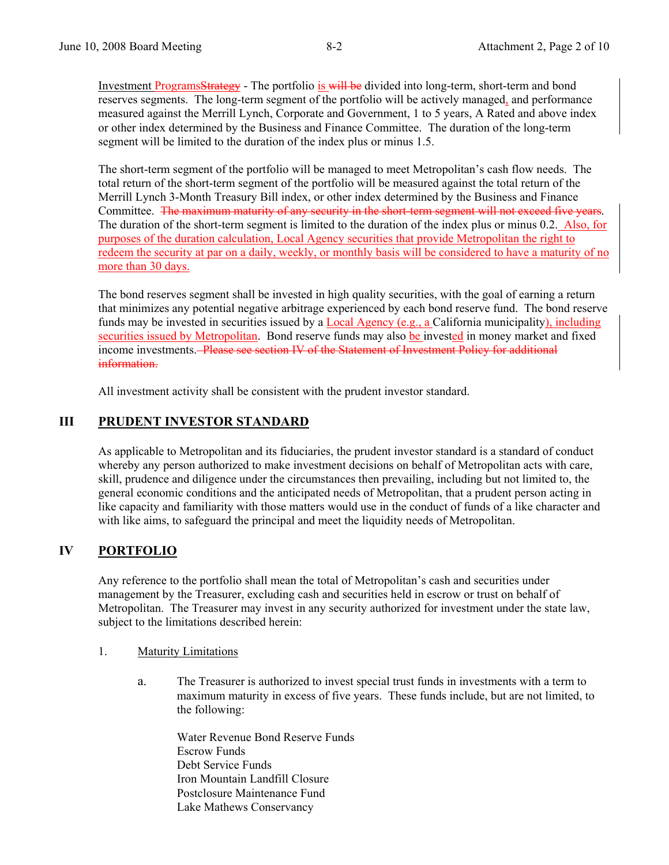Investment ProgramsStrategy - The portfolio is will be divided into long-term, short-term and bond reserves segments. The long-term segment of the portfolio will be actively managed, and performance measured against the Merrill Lynch, Corporate and Government, 1 to 5 years, A Rated and above index or other index determined by the Business and Finance Committee. The duration of the long-term segment will be limited to the duration of the index plus or minus 1.5.

The short-term segment of the portfolio will be managed to meet Metropolitan's cash flow needs. The total return of the short-term segment of the portfolio will be measured against the total return of the Merrill Lynch 3-Month Treasury Bill index, or other index determined by the Business and Finance Committee. The maximum maturity of any security in the short-term segment will not exceed five years. The duration of the short-term segment is limited to the duration of the index plus or minus 0.2. Also, for purposes of the duration calculation, Local Agency securities that provide Metropolitan the right to redeem the security at par on a daily, weekly, or monthly basis will be considered to have a maturity of no more than 30 days.

The bond reserves segment shall be invested in high quality securities, with the goal of earning a return that minimizes any potential negative arbitrage experienced by each bond reserve fund. The bond reserve funds may be invested in securities issued by a Local Agency (e.g., a California municipality), including securities issued by Metropolitan. Bond reserve funds may also be invested in money market and fixed income investments. Please see section IV of the Statement of Investment Policy for additional information.

All investment activity shall be consistent with the prudent investor standard.

### **III PRUDENT INVESTOR STANDARD**

As applicable to Metropolitan and its fiduciaries, the prudent investor standard is a standard of conduct whereby any person authorized to make investment decisions on behalf of Metropolitan acts with care, skill, prudence and diligence under the circumstances then prevailing, including but not limited to, the general economic conditions and the anticipated needs of Metropolitan, that a prudent person acting in like capacity and familiarity with those matters would use in the conduct of funds of a like character and with like aims, to safeguard the principal and meet the liquidity needs of Metropolitan.

# **IV PORTFOLIO**

Any reference to the portfolio shall mean the total of Metropolitan's cash and securities under management by the Treasurer, excluding cash and securities held in escrow or trust on behalf of Metropolitan. The Treasurer may invest in any security authorized for investment under the state law, subject to the limitations described herein:

- 1. Maturity Limitations
	- a. The Treasurer is authorized to invest special trust funds in investments with a term to maximum maturity in excess of five years. These funds include, but are not limited, to the following:

Water Revenue Bond Reserve Funds Escrow Funds Debt Service Funds Iron Mountain Landfill Closure Postclosure Maintenance Fund Lake Mathews Conservancy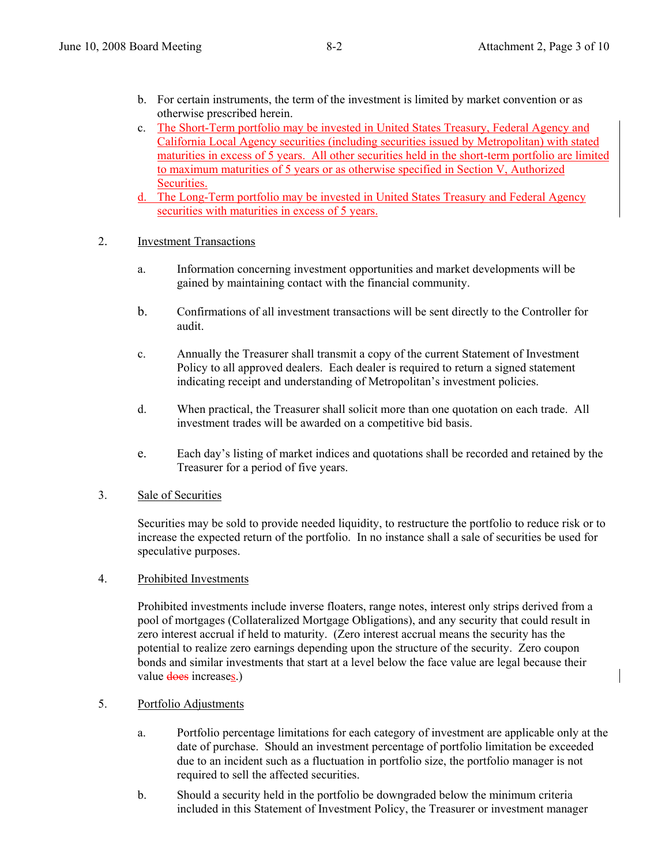- b. For certain instruments, the term of the investment is limited by market convention or as otherwise prescribed herein.
- c. The Short-Term portfolio may be invested in United States Treasury, Federal Agency and California Local Agency securities (including securities issued by Metropolitan) with stated maturities in excess of 5 years. All other securities held in the short-term portfolio are limited to maximum maturities of 5 years or as otherwise specified in Section V, Authorized Securities.
- d. The Long-Term portfolio may be invested in United States Treasury and Federal Agency securities with maturities in excess of 5 years.
- 2. Investment Transactions
	- a. Information concerning investment opportunities and market developments will be gained by maintaining contact with the financial community.
	- b. Confirmations of all investment transactions will be sent directly to the Controller for audit.
	- c. Annually the Treasurer shall transmit a copy of the current Statement of Investment Policy to all approved dealers. Each dealer is required to return a signed statement indicating receipt and understanding of Metropolitan's investment policies.
	- d. When practical, the Treasurer shall solicit more than one quotation on each trade. All investment trades will be awarded on a competitive bid basis.
	- e. Each day's listing of market indices and quotations shall be recorded and retained by the Treasurer for a period of five years.

#### 3. Sale of Securities

 Securities may be sold to provide needed liquidity, to restructure the portfolio to reduce risk or to increase the expected return of the portfolio. In no instance shall a sale of securities be used for speculative purposes.

4. Prohibited Investments

Prohibited investments include inverse floaters, range notes, interest only strips derived from a pool of mortgages (Collateralized Mortgage Obligations), and any security that could result in zero interest accrual if held to maturity. (Zero interest accrual means the security has the potential to realize zero earnings depending upon the structure of the security. Zero coupon bonds and similar investments that start at a level below the face value are legal because their value does increases.)

#### 5. Portfolio Adjustments

- a. Portfolio percentage limitations for each category of investment are applicable only at the date of purchase. Should an investment percentage of portfolio limitation be exceeded due to an incident such as a fluctuation in portfolio size, the portfolio manager is not required to sell the affected securities.
- b. Should a security held in the portfolio be downgraded below the minimum criteria included in this Statement of Investment Policy, the Treasurer or investment manager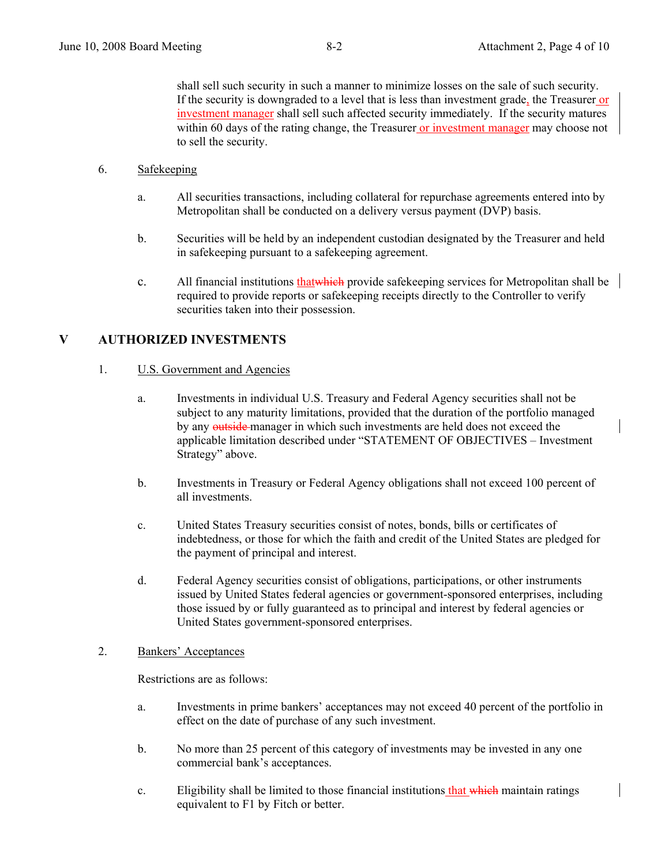shall sell such security in such a manner to minimize losses on the sale of such security. If the security is downgraded to a level that is less than investment grade, the Treasurer or investment manager shall sell such affected security immediately. If the security matures within 60 days of the rating change, the Treasurer or investment manager may choose not to sell the security.

- 6. Safekeeping
	- a. All securities transactions, including collateral for repurchase agreements entered into by Metropolitan shall be conducted on a delivery versus payment (DVP) basis.
	- b. Securities will be held by an independent custodian designated by the Treasurer and held in safekeeping pursuant to a safekeeping agreement.
	- c. All financial institutions that which provide safekeeping services for Metropolitan shall be required to provide reports or safekeeping receipts directly to the Controller to verify securities taken into their possession.

### **V AUTHORIZED INVESTMENTS**

### 1. U.S. Government and Agencies

- a. Investments in individual U.S. Treasury and Federal Agency securities shall not be subject to any maturity limitations, provided that the duration of the portfolio managed by any outside manager in which such investments are held does not exceed the applicable limitation described under "STATEMENT OF OBJECTIVES – Investment Strategy" above.
- b. Investments in Treasury or Federal Agency obligations shall not exceed 100 percent of all investments.
- c. United States Treasury securities consist of notes, bonds, bills or certificates of indebtedness, or those for which the faith and credit of the United States are pledged for the payment of principal and interest.
- d. Federal Agency securities consist of obligations, participations, or other instruments issued by United States federal agencies or government-sponsored enterprises, including those issued by or fully guaranteed as to principal and interest by federal agencies or United States government-sponsored enterprises.

### 2. Bankers' Acceptances

Restrictions are as follows:

- a. Investments in prime bankers' acceptances may not exceed 40 percent of the portfolio in effect on the date of purchase of any such investment.
- b. No more than 25 percent of this category of investments may be invested in any one commercial bank's acceptances.
- c. Eligibility shall be limited to those financial institutions that which maintain ratings equivalent to F1 by Fitch or better.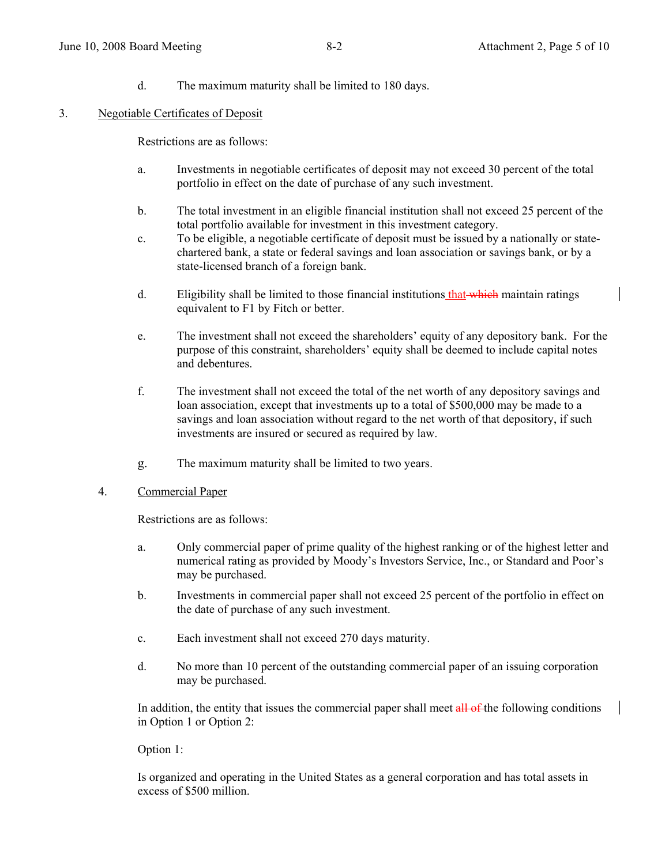d. The maximum maturity shall be limited to 180 days.

### 3. Negotiable Certificates of Deposit

Restrictions are as follows:

- a. Investments in negotiable certificates of deposit may not exceed 30 percent of the total portfolio in effect on the date of purchase of any such investment.
- b. The total investment in an eligible financial institution shall not exceed 25 percent of the total portfolio available for investment in this investment category.
- c. To be eligible, a negotiable certificate of deposit must be issued by a nationally or statechartered bank, a state or federal savings and loan association or savings bank, or by a state-licensed branch of a foreign bank.
- d. Eligibility shall be limited to those financial institutions that which maintain ratings equivalent to F1 by Fitch or better.
- e. The investment shall not exceed the shareholders' equity of any depository bank. For the purpose of this constraint, shareholders' equity shall be deemed to include capital notes and debentures.
- f. The investment shall not exceed the total of the net worth of any depository savings and loan association, except that investments up to a total of \$500,000 may be made to a savings and loan association without regard to the net worth of that depository, if such investments are insured or secured as required by law.
- g. The maximum maturity shall be limited to two years.

#### 4. Commercial Paper

Restrictions are as follows:

- a. Only commercial paper of prime quality of the highest ranking or of the highest letter and numerical rating as provided by Moody's Investors Service, Inc., or Standard and Poor's may be purchased.
- b. Investments in commercial paper shall not exceed 25 percent of the portfolio in effect on the date of purchase of any such investment.
- c. Each investment shall not exceed 270 days maturity.
- d. No more than 10 percent of the outstanding commercial paper of an issuing corporation may be purchased.

In addition, the entity that issues the commercial paper shall meet all of the following conditions in Option 1 or Option 2:

### Option 1:

Is organized and operating in the United States as a general corporation and has total assets in excess of \$500 million.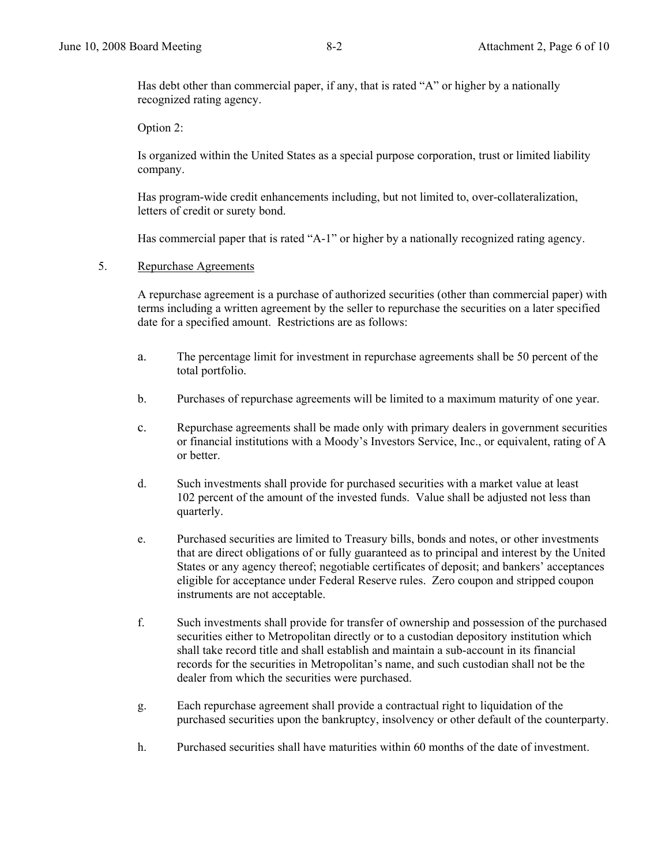Has debt other than commercial paper, if any, that is rated "A" or higher by a nationally recognized rating agency.

Option 2:

Is organized within the United States as a special purpose corporation, trust or limited liability company.

Has program-wide credit enhancements including, but not limited to, over-collateralization, letters of credit or surety bond.

Has commercial paper that is rated "A-1" or higher by a nationally recognized rating agency.

#### 5. Repurchase Agreements

 A repurchase agreement is a purchase of authorized securities (other than commercial paper) with terms including a written agreement by the seller to repurchase the securities on a later specified date for a specified amount. Restrictions are as follows:

- a. The percentage limit for investment in repurchase agreements shall be 50 percent of the total portfolio.
- b. Purchases of repurchase agreements will be limited to a maximum maturity of one year.
- c. Repurchase agreements shall be made only with primary dealers in government securities or financial institutions with a Moody's Investors Service, Inc., or equivalent, rating of A or better.
- d. Such investments shall provide for purchased securities with a market value at least 102 percent of the amount of the invested funds. Value shall be adjusted not less than quarterly.
- e. Purchased securities are limited to Treasury bills, bonds and notes, or other investments that are direct obligations of or fully guaranteed as to principal and interest by the United States or any agency thereof; negotiable certificates of deposit; and bankers' acceptances eligible for acceptance under Federal Reserve rules. Zero coupon and stripped coupon instruments are not acceptable.
- f. Such investments shall provide for transfer of ownership and possession of the purchased securities either to Metropolitan directly or to a custodian depository institution which shall take record title and shall establish and maintain a sub-account in its financial records for the securities in Metropolitan's name, and such custodian shall not be the dealer from which the securities were purchased.
- g. Each repurchase agreement shall provide a contractual right to liquidation of the purchased securities upon the bankruptcy, insolvency or other default of the counterparty.
- h. Purchased securities shall have maturities within 60 months of the date of investment.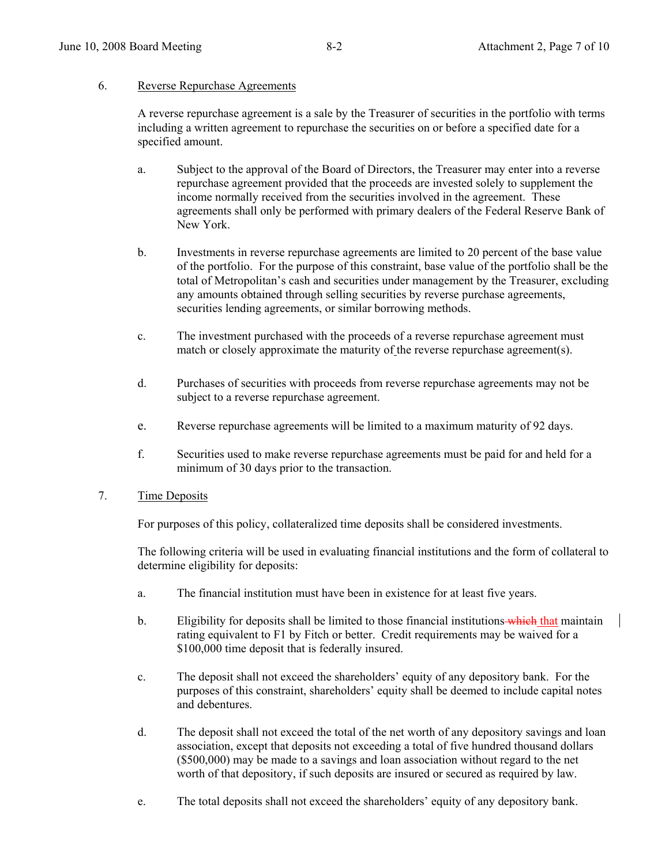#### 6. Reverse Repurchase Agreements

A reverse repurchase agreement is a sale by the Treasurer of securities in the portfolio with terms including a written agreement to repurchase the securities on or before a specified date for a specified amount.

- a. Subject to the approval of the Board of Directors, the Treasurer may enter into a reverse repurchase agreement provided that the proceeds are invested solely to supplement the income normally received from the securities involved in the agreement. These agreements shall only be performed with primary dealers of the Federal Reserve Bank of New York.
- b. Investments in reverse repurchase agreements are limited to 20 percent of the base value of the portfolio. For the purpose of this constraint, base value of the portfolio shall be the total of Metropolitan's cash and securities under management by the Treasurer, excluding any amounts obtained through selling securities by reverse purchase agreements, securities lending agreements, or similar borrowing methods.
- c. The investment purchased with the proceeds of a reverse repurchase agreement must match or closely approximate the maturity of the reverse repurchase agreement(s).
- d. Purchases of securities with proceeds from reverse repurchase agreements may not be subject to a reverse repurchase agreement.
- e. Reverse repurchase agreements will be limited to a maximum maturity of 92 days.
- f. Securities used to make reverse repurchase agreements must be paid for and held for a minimum of 30 days prior to the transaction.

### 7. Time Deposits

For purposes of this policy, collateralized time deposits shall be considered investments.

 The following criteria will be used in evaluating financial institutions and the form of collateral to determine eligibility for deposits:

- a. The financial institution must have been in existence for at least five years.
- b. Eligibility for deposits shall be limited to those financial institutions—which that maintain rating equivalent to F1 by Fitch or better. Credit requirements may be waived for a \$100,000 time deposit that is federally insured.
- c. The deposit shall not exceed the shareholders' equity of any depository bank. For the purposes of this constraint, shareholders' equity shall be deemed to include capital notes and debentures.
- d. The deposit shall not exceed the total of the net worth of any depository savings and loan association, except that deposits not exceeding a total of five hundred thousand dollars (\$500,000) may be made to a savings and loan association without regard to the net worth of that depository, if such deposits are insured or secured as required by law.
- e. The total deposits shall not exceed the shareholders' equity of any depository bank.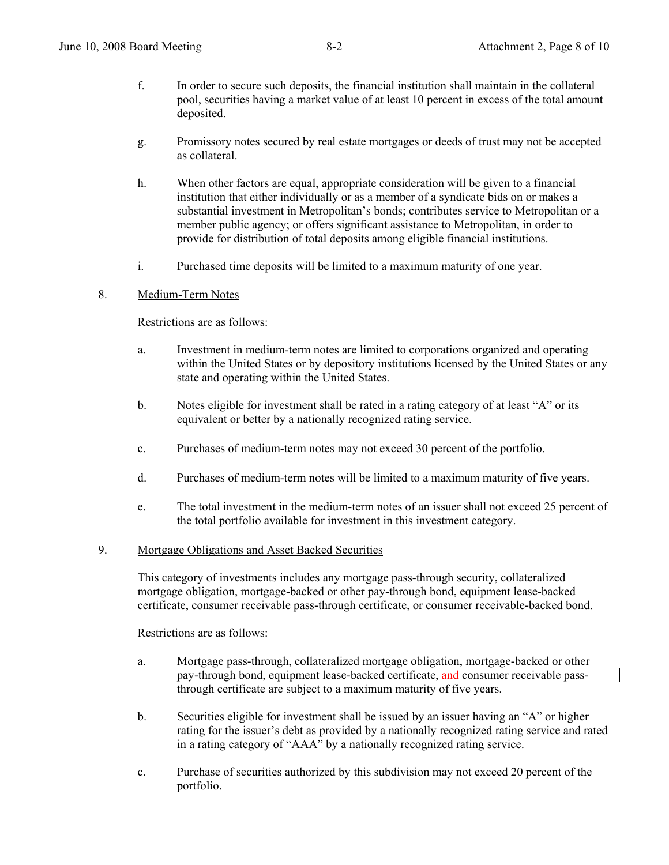- f. In order to secure such deposits, the financial institution shall maintain in the collateral pool, securities having a market value of at least 10 percent in excess of the total amount deposited.
- g. Promissory notes secured by real estate mortgages or deeds of trust may not be accepted as collateral.
- h. When other factors are equal, appropriate consideration will be given to a financial institution that either individually or as a member of a syndicate bids on or makes a substantial investment in Metropolitan's bonds; contributes service to Metropolitan or a member public agency; or offers significant assistance to Metropolitan, in order to provide for distribution of total deposits among eligible financial institutions.
- i. Purchased time deposits will be limited to a maximum maturity of one year.

### 8. Medium-Term Notes

Restrictions are as follows:

- a. Investment in medium-term notes are limited to corporations organized and operating within the United States or by depository institutions licensed by the United States or any state and operating within the United States.
- b. Notes eligible for investment shall be rated in a rating category of at least "A" or its equivalent or better by a nationally recognized rating service.
- c. Purchases of medium-term notes may not exceed 30 percent of the portfolio.
- d. Purchases of medium-term notes will be limited to a maximum maturity of five years.
- e. The total investment in the medium-term notes of an issuer shall not exceed 25 percent of the total portfolio available for investment in this investment category.

#### 9. Mortgage Obligations and Asset Backed Securities

 This category of investments includes any mortgage pass-through security, collateralized mortgage obligation, mortgage-backed or other pay-through bond, equipment lease-backed certificate, consumer receivable pass-through certificate, or consumer receivable-backed bond.

Restrictions are as follows:

- a. Mortgage pass-through, collateralized mortgage obligation, mortgage-backed or other pay-through bond, equipment lease-backed certificate, and consumer receivable passthrough certificate are subject to a maximum maturity of five years.
- b. Securities eligible for investment shall be issued by an issuer having an "A" or higher rating for the issuer's debt as provided by a nationally recognized rating service and rated in a rating category of "AAA" by a nationally recognized rating service.
- c. Purchase of securities authorized by this subdivision may not exceed 20 percent of the portfolio.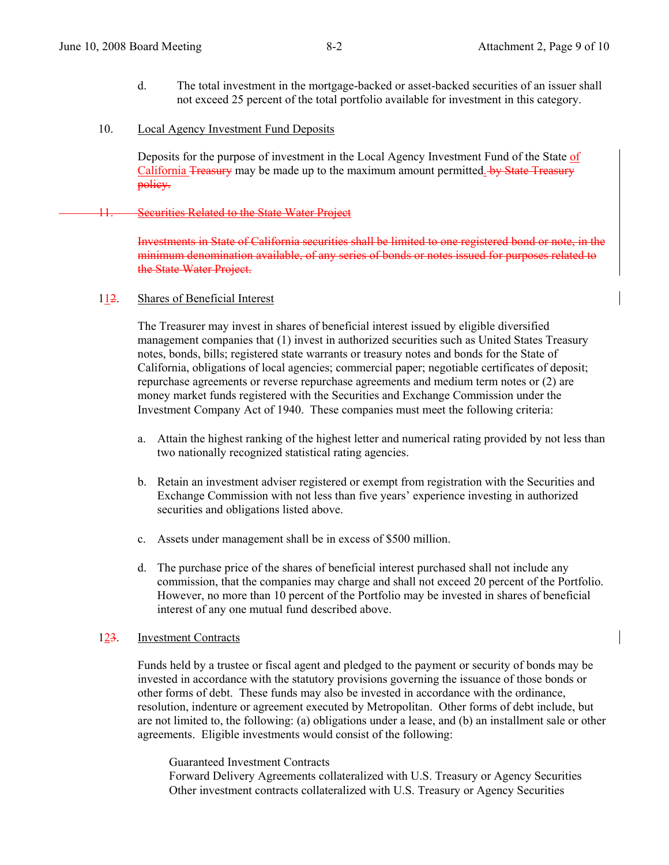- d. The total investment in the mortgage-backed or asset-backed securities of an issuer shall not exceed 25 percent of the total portfolio available for investment in this category.
- 10. Local Agency Investment Fund Deposits

Deposits for the purpose of investment in the Local Agency Investment Fund of the State of California Treasury may be made up to the maximum amount permitted. by State Treasury policy.

#### **Securities Related to the State Water Project**

Investments in State of California securities shall be limited to one registered bond or note, in the minimum denomination available, of any series of bonds or notes issued for purposes related to the State Water Project.

#### 112. Shares of Beneficial Interest

The Treasurer may invest in shares of beneficial interest issued by eligible diversified management companies that (1) invest in authorized securities such as United States Treasury notes, bonds, bills; registered state warrants or treasury notes and bonds for the State of California, obligations of local agencies; commercial paper; negotiable certificates of deposit; repurchase agreements or reverse repurchase agreements and medium term notes or (2) are money market funds registered with the Securities and Exchange Commission under the Investment Company Act of 1940. These companies must meet the following criteria:

- a. Attain the highest ranking of the highest letter and numerical rating provided by not less than two nationally recognized statistical rating agencies.
- b. Retain an investment adviser registered or exempt from registration with the Securities and Exchange Commission with not less than five years' experience investing in authorized securities and obligations listed above.
- c. Assets under management shall be in excess of \$500 million.
- d. The purchase price of the shares of beneficial interest purchased shall not include any commission, that the companies may charge and shall not exceed 20 percent of the Portfolio. However, no more than 10 percent of the Portfolio may be invested in shares of beneficial interest of any one mutual fund described above.

#### 123. Investment Contracts

Funds held by a trustee or fiscal agent and pledged to the payment or security of bonds may be invested in accordance with the statutory provisions governing the issuance of those bonds or other forms of debt. These funds may also be invested in accordance with the ordinance, resolution, indenture or agreement executed by Metropolitan. Other forms of debt include, but are not limited to, the following: (a) obligations under a lease, and (b) an installment sale or other agreements. Eligible investments would consist of the following:

 Guaranteed Investment Contracts Forward Delivery Agreements collateralized with U.S. Treasury or Agency Securities Other investment contracts collateralized with U.S. Treasury or Agency Securities